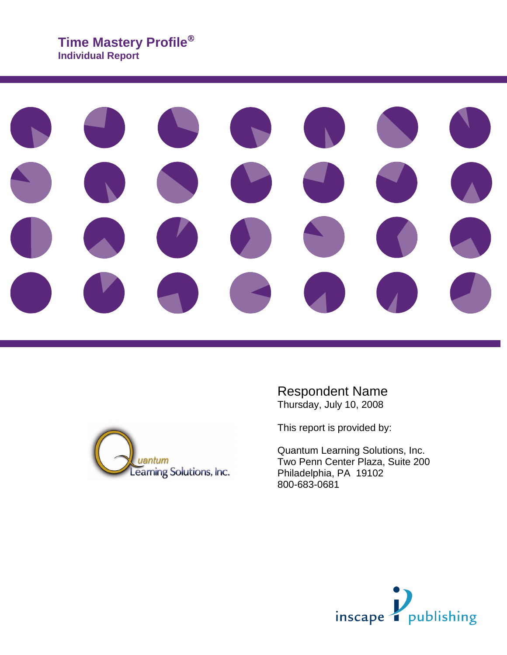# **Time Mastery Profile Individual Report**





Respondent Name Thursday, July 10, 2008

This report is provided by:

Quantum Learning Solutions, Inc. Two Penn Center Plaza, Suite 200 Philadelphia, PA 19102 800-683-0681

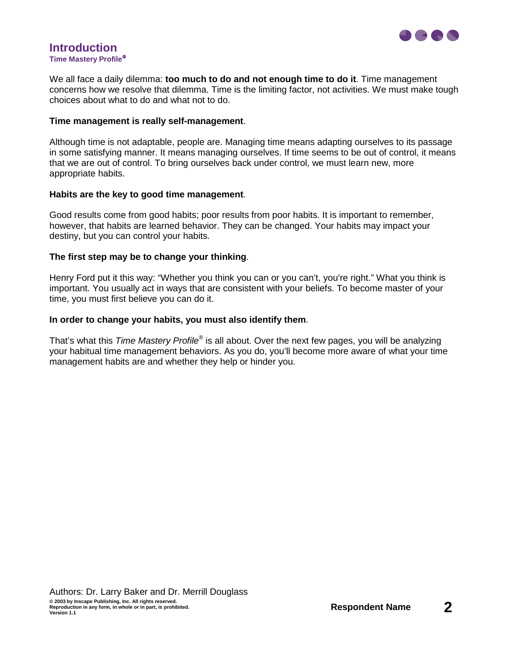

#### **Introduction Time Mastery Profile**

We all face a daily dilemma: **too much to do and not enough time to do it**. Time management concerns how we resolve that dilemma. Time is the limiting factor, not activities. We must make tough choices about what to do and what not to do.

#### **Time management is really self-management**.

Although time is not adaptable, people are. Managing time means adapting ourselves to its passage in some satisfying manner. It means managing ourselves. If time seems to be out of control, it means that we are out of control. To bring ourselves back under control, we must learn new, more appropriate habits.

#### **Habits are the key to good time management**.

Good results come from good habits; poor results from poor habits. It is important to remember, however, that habits are learned behavior. They can be changed. Your habits may impact your destiny, but you can control your habits.

#### **The first step may be to change your thinking**.

Henry Ford put it this way: "Whether you think you can or you can't, you're right." What you think is important. You usually act in ways that are consistent with your beliefs. To become master of your time, you must first believe you can do it.

#### **In order to change your habits, you must also identify them**.

That's what this Time Mastery Profile<sup>®</sup> is all about. Over the next few pages, you will be analyzing your habitual time management behaviors. As you do, you'll become more aware of what your time management habits are and whether they help or hinder you.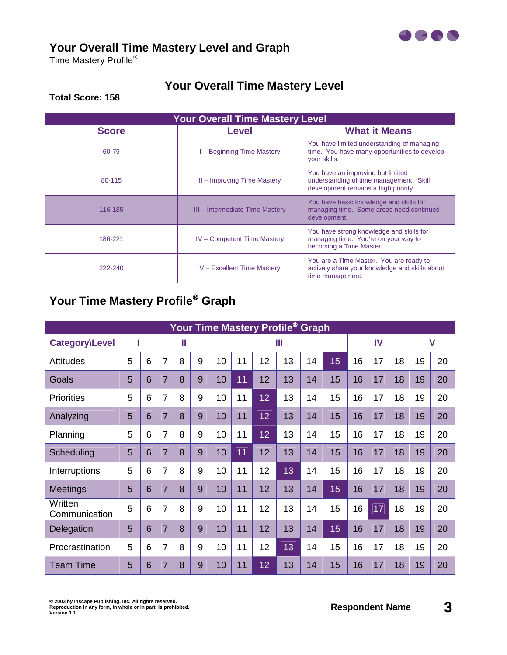

## **Your Overall Time Mastery Level and Graph**

Time Mastery Profile®

# **Your Overall Time Mastery Level**

#### **Total Score: 158**

| <b>Your Overall Time Mastery Level</b> |                                    |                                                                                                                      |  |  |  |
|----------------------------------------|------------------------------------|----------------------------------------------------------------------------------------------------------------------|--|--|--|
| <b>Score</b>                           | <b>Level</b>                       | <b>What it Means</b>                                                                                                 |  |  |  |
| 60-79                                  | - Beginning Time Mastery           | You have limited understanding of managing<br>time. You have many opportunities to develop<br>your skills.           |  |  |  |
| 80-115                                 | II - Improving Time Mastery        | You have an improving but limited<br>understanding of time management. Skill<br>development remains a high priority. |  |  |  |
| 116-185                                | III – Intermediate Time Mastery    | You have basic knowledge and skills for<br>managing time. Some areas need continued<br>development.                  |  |  |  |
| 186-221                                | <b>IV</b> – Competent Time Mastery | You have strong knowledge and skills for<br>managing time. You're on your way to<br>becoming a Time Master.          |  |  |  |
| 222-240                                | V - Excellent Time Mastery         | You are a Time Master. You are ready to<br>actively share your knowledge and skills about<br>time management.        |  |  |  |

# **Your Time Mastery Profile Graph**

| Your Time Mastery Profile <sup>®</sup> Graph |   |   |                |   |   |    |                 |    |    |    |              |    |    |    |    |    |
|----------------------------------------------|---|---|----------------|---|---|----|-----------------|----|----|----|--------------|----|----|----|----|----|
| <b>Category\Level</b>                        |   | Ш |                | Ш |   |    |                 | IV |    |    | $\mathsf{V}$ |    |    |    |    |    |
| <b>Attitudes</b>                             | 5 | 6 | 7              | 8 | 9 | 10 | 11              | 12 | 13 | 14 | 15           | 16 | 17 | 18 | 19 | 20 |
| Goals                                        | 5 | 6 | $\overline{7}$ | 8 | 9 | 10 | $\overline{11}$ | 12 | 13 | 14 | 15           | 16 | 17 | 18 | 19 | 20 |
| <b>Priorities</b>                            | 5 | 6 | 7              | 8 | 9 | 10 | 11              | 12 | 13 | 14 | 15           | 16 | 17 | 18 | 19 | 20 |
| Analyzing                                    | 5 | 6 | $\overline{7}$ | 8 | 9 | 10 | 11              | 12 | 13 | 14 | 15           | 16 | 17 | 18 | 19 | 20 |
| Planning                                     | 5 | 6 | 7              | 8 | 9 | 10 | 11              | 12 | 13 | 14 | 15           | 16 | 17 | 18 | 19 | 20 |
| Scheduling                                   | 5 | 6 | $\overline{7}$ | 8 | 9 | 10 | 11              | 12 | 13 | 14 | 15           | 16 | 17 | 18 | 19 | 20 |
| Interruptions                                | 5 | 6 | $\overline{7}$ | 8 | 9 | 10 | 11              | 12 | 13 | 14 | 15           | 16 | 17 | 18 | 19 | 20 |
| <b>Meetings</b>                              | 5 | 6 | $\overline{7}$ | 8 | 9 | 10 | 11              | 12 | 13 | 14 | 15           | 16 | 17 | 18 | 19 | 20 |
| Written<br>Communication                     | 5 | 6 | $\overline{7}$ | 8 | 9 | 10 | 11              | 12 | 13 | 14 | 15           | 16 | 17 | 18 | 19 | 20 |
| Delegation                                   | 5 | 6 | $\overline{7}$ | 8 | 9 | 10 | 11              | 12 | 13 | 14 | 15           | 16 | 17 | 18 | 19 | 20 |
| Procrastination                              | 5 | 6 | $\overline{7}$ | 8 | 9 | 10 | 11              | 12 | 13 | 14 | 15           | 16 | 17 | 18 | 19 | 20 |
| <b>Team Time</b>                             | 5 | 6 | $\overline{7}$ | 8 | 9 | 10 | 11              | 12 | 13 | 14 | 15           | 16 | 17 | 18 | 19 | 20 |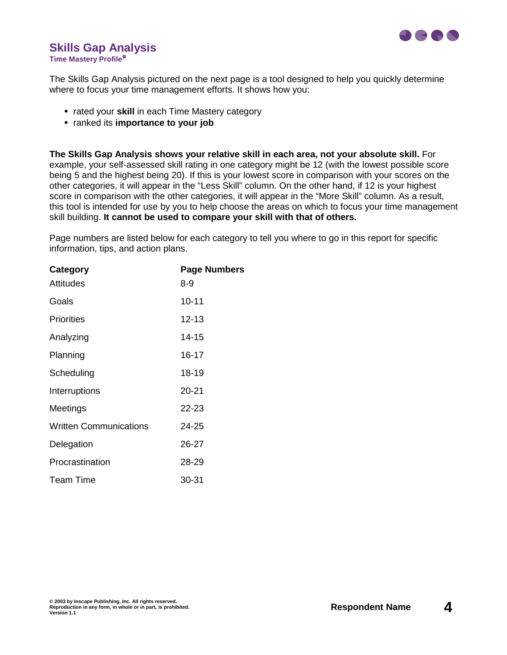

# **Skills Gap Analysis**

**Time Mastery Profile**

The Skills Gap Analysis pictured on the next page is a tool designed to help you quickly determine where to focus your time management efforts. It shows how you:

- **•** rated your **skill** in each Time Mastery category
- **•** ranked its **importance to your job**

**The Skills Gap Analysis shows your relative skill in each area, not your absolute skill.** For example, your self-assessed skill rating in one category might be 12 (with the lowest possible score being 5 and the highest being 20). If this is your lowest score in comparison with your scores on the other categories, it will appear in the "Less Skill" column. On the other hand, if 12 is your highest score in comparison with the other categories, it will appear in the "More Skill" column. As a result, this tool is intended for use by you to help choose the areas on which to focus your time management skill building. **It cannot be used to compare your skill with that of others.**

Page numbers are listed below for each category to tell you where to go in this report for specific information, tips, and action plans.

| <b>Page Numbers</b> |
|---------------------|
| 8-9                 |
| $10 - 11$           |
| $12 - 13$           |
| 14-15               |
| 16-17               |
| 18-19               |
| 20-21               |
| 22-23               |
| 24-25               |
| 26-27               |
| 28-29               |
| 30-31               |
|                     |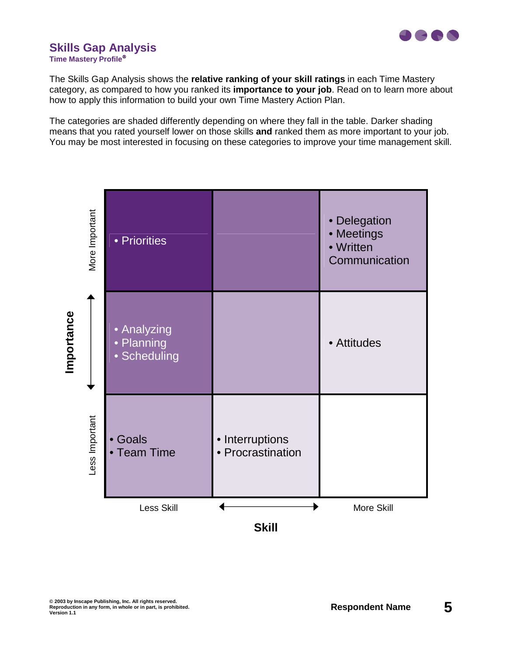

# **Skills Gap Analysis**

**Time Mastery Profile**

The Skills Gap Analysis shows the **relative ranking of your skill ratings** in each Time Mastery category, as compared to how you ranked its **importance to your job**. Read on to learn more about how to apply this information to build your own Time Mastery Action Plan.

The categories are shaded differently depending on where they fall in the table. Darker shading means that you rated yourself lower on those skills **and** ranked them as more important to your job. You may be most interested in focusing on these categories to improve your time management skill.

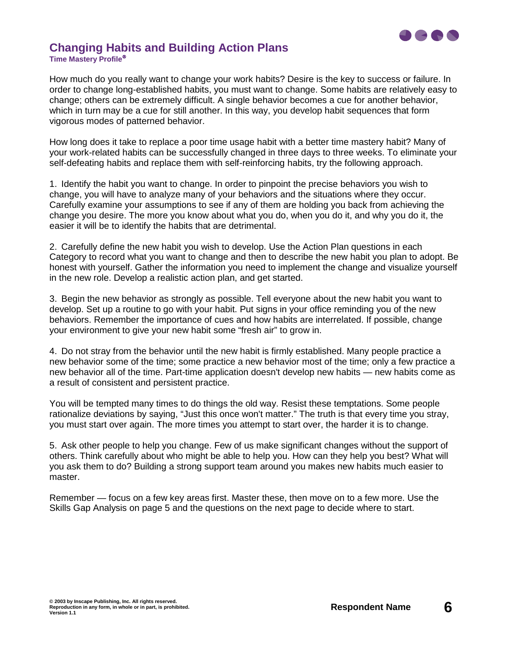

#### **Changing Habits and Building Action Plans Time Mastery Profile**

How much do you really want to change your work habits? Desire is the key to success or failure. In order to change long-established habits, you must want to change. Some habits are relatively easy to change; others can be extremely difficult. A single behavior becomes a cue for another behavior, which in turn may be a cue for still another. In this way, you develop habit sequences that form vigorous modes of patterned behavior.

How long does it take to replace a poor time usage habit with a better time mastery habit? Many of your work-related habits can be successfully changed in three days to three weeks. To eliminate your self-defeating habits and replace them with self-reinforcing habits, try the following approach.

1. Identify the habit you want to change. In order to pinpoint the precise behaviors you wish to change, you will have to analyze many of your behaviors and the situations where they occur. Carefully examine your assumptions to see if any of them are holding you back from achieving the change you desire. The more you know about what you do, when you do it, and why you do it, the easier it will be to identify the habits that are detrimental.

2. Carefully define the new habit you wish to develop. Use the Action Plan questions in each Category to record what you want to change and then to describe the new habit you plan to adopt. Be honest with yourself. Gather the information you need to implement the change and visualize yourself in the new role. Develop a realistic action plan, and get started.

3. Begin the new behavior as strongly as possible. Tell everyone about the new habit you want to develop. Set up a routine to go with your habit. Put signs in your office reminding you of the new behaviors. Remember the importance of cues and how habits are interrelated. If possible, change your environment to give your new habit some "fresh air" to grow in.

4. Do not stray from the behavior until the new habit is firmly established. Many people practice a new behavior some of the time; some practice a new behavior most of the time; only a few practice a new behavior all of the time. Part-time application doesn't develop new habits — new habits come as a result of consistent and persistent practice.

You will be tempted many times to do things the old way. Resist these temptations. Some people rationalize deviations by saying, "Just this once won't matter." The truth is that every time you stray, you must start over again. The more times you attempt to start over, the harder it is to change.

5. Ask other people to help you change. Few of us make significant changes without the support of others. Think carefully about who might be able to help you. How can they help you best? What will you ask them to do? Building a strong support team around you makes new habits much easier to master.

Remember — focus on a few key areas first. Master these, then move on to a few more. Use the Skills Gap Analysis on page 5 and the questions on the next page to decide where to start.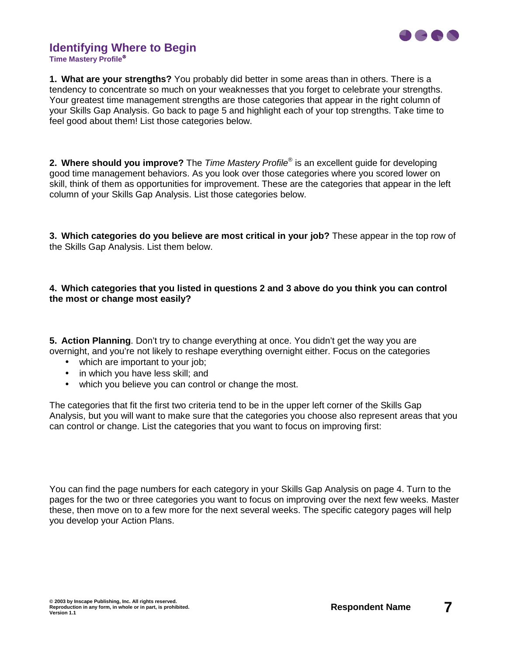

## **Identifying Where to Begin**

**Time Mastery Profile**

**1. What are your strengths?** You probably did better in some areas than in others. There is a tendency to concentrate so much on your weaknesses that you forget to celebrate your strengths. Your greatest time management strengths are those categories that appear in the right column of your Skills Gap Analysis. Go back to page 5 and highlight each of your top strengths. Take time to feel good about them! List those categories below.

**2. Where should you improve?** The *Time Mastery Profile*<sup>®</sup> is an excellent guide for developing good time management behaviors. As you look over those categories where you scored lower on skill, think of them as opportunities for improvement. These are the categories that appear in the left column of your Skills Gap Analysis. List those categories below.

**3. Which categories do you believe are most critical in your job?** These appear in the top row of the Skills Gap Analysis. List them below.

#### **4. Which categories that you listed in questions 2 and 3 above do you think you can control the most or change most easily?**

**5. Action Planning**. Don't try to change everything at once. You didn't get the way you are overnight, and you're not likely to reshape everything overnight either. Focus on the categories

- which are important to your job;
- in which you have less skill; and
- which you believe you can control or change the most.

The categories that fit the first two criteria tend to be in the upper left corner of the Skills Gap Analysis, but you will want to make sure that the categories you choose also represent areas that you can control or change. List the categories that you want to focus on improving first:

You can find the page numbers for each category in your Skills Gap Analysis on page 4. Turn to the pages for the two or three categories you want to focus on improving over the next few weeks. Master these, then move on to a few more for the next several weeks. The specific category pages will help you develop your Action Plans.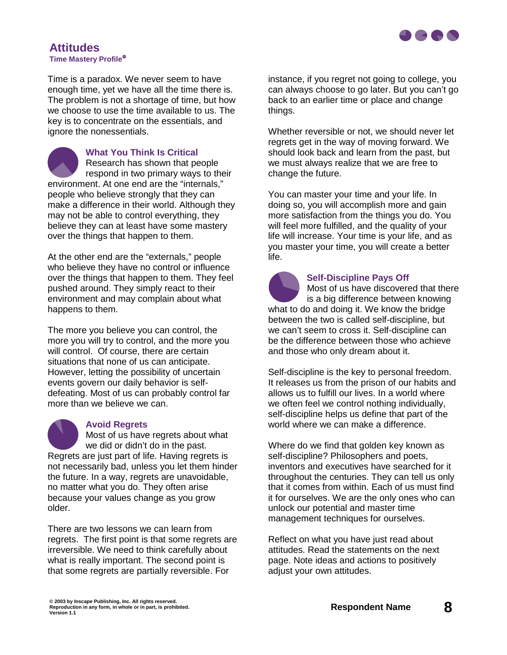

#### **Attitudes Time Mastery Profile**

Time is a paradox. We never seem to have enough time, yet we have all the time there is. The problem is not a shortage of time, but how we choose to use the time available to us. The key is to concentrate on the essentials, and ignore the nonessentials.

**What You Think Is Critical**  Research has shown that people respond in two primary ways to their environment. At one end are the "internals," people who believe strongly that they can make a difference in their world. Although they may not be able to control everything, they believe they can at least have some mastery over the things that happen to them.

At the other end are the "externals," people who believe they have no control or influence over the things that happen to them. They feel pushed around. They simply react to their environment and may complain about what happens to them.

The more you believe you can control, the more you will try to control, and the more you will control. Of course, there are certain situations that none of us can anticipate. However, letting the possibility of uncertain events govern our daily behavior is selfdefeating. Most of us can probably control far more than we believe we can.



#### **Avoid Regrets**

Most of us have regrets about what we did or didn't do in the past. Regrets are just part of life. Having regrets is not necessarily bad, unless you let them hinder the future. In a way, regrets are unavoidable, no matter what you do. They often arise because your values change as you grow older.

There are two lessons we can learn from regrets. The first point is that some regrets are irreversible. We need to think carefully about what is really important. The second point is that some regrets are partially reversible. For

instance, if you regret not going to college, you can always choose to go later. But you can't go back to an earlier time or place and change things.

Whether reversible or not, we should never let regrets get in the way of moving forward. We should look back and learn from the past, but we must always realize that we are free to change the future.

You can master your time and your life. In doing so, you will accomplish more and gain more satisfaction from the things you do. You will feel more fulfilled, and the quality of your life will increase. Your time is your life, and as you master your time, you will create a better life.



#### **Self-Discipline Pays Off**

Most of us have discovered that there is a big difference between knowing what to do and doing it. We know the bridge between the two is called self-discipline, but we can't seem to cross it. Self-discipline can be the difference between those who achieve and those who only dream about it.

Self-discipline is the key to personal freedom. It releases us from the prison of our habits and allows us to fulfill our lives. In a world where we often feel we control nothing individually, self-discipline helps us define that part of the world where we can make a difference.

Where do we find that golden key known as self-discipline? Philosophers and poets, inventors and executives have searched for it throughout the centuries. They can tell us only that it comes from within. Each of us must find it for ourselves. We are the only ones who can unlock our potential and master time management techniques for ourselves.

Reflect on what you have just read about attitudes. Read the statements on the next page. Note ideas and actions to positively adjust your own attitudes.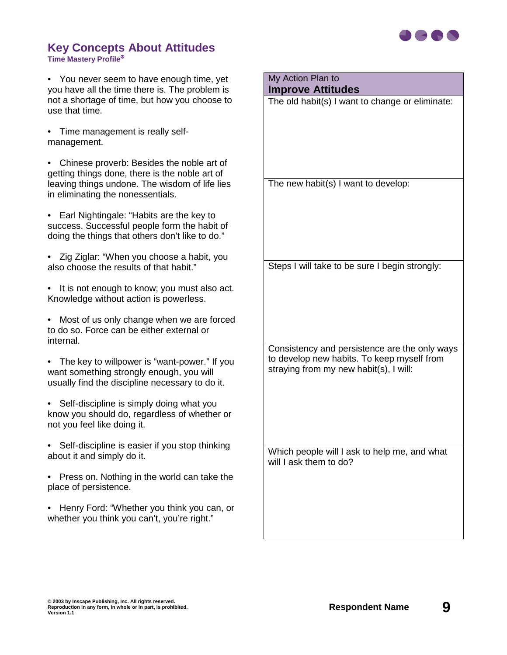

#### **Key Concepts About Attitudes Time Mastery Profile**

• You never seem to have enough time, yet you have all the time there is. The problem is not a shortage of time, but how you choose to use that time.

• Time management is really selfmanagement.

• Chinese proverb: Besides the noble art of getting things done, there is the noble art of leaving things undone. The wisdom of life lies in eliminating the nonessentials.

• Earl Nightingale: "Habits are the key to success. Successful people form the habit of doing the things that others don't like to do."

- Zig Ziglar: "When you choose a habit, you also choose the results of that habit."
- It is not enough to know; you must also act. Knowledge without action is powerless.
- Most of us only change when we are forced to do so. Force can be either external or internal.
- The key to willpower is "want-power." If you want something strongly enough, you will usually find the discipline necessary to do it.
- Self-discipline is simply doing what you know you should do, regardless of whether or not you feel like doing it.
- Self-discipline is easier if you stop thinking about it and simply do it.
- Press on. Nothing in the world can take the place of persistence.
- Henry Ford: "Whether you think you can, or whether you think you can't, you're right."

## My Action Plan to

#### **Improve Attitudes**

The old habit(s) I want to change or eliminate:

The new habit(s) I want to develop:

Steps I will take to be sure I begin strongly:

Consistency and persistence are the only ways to develop new habits. To keep myself from straying from my new habit(s), I will: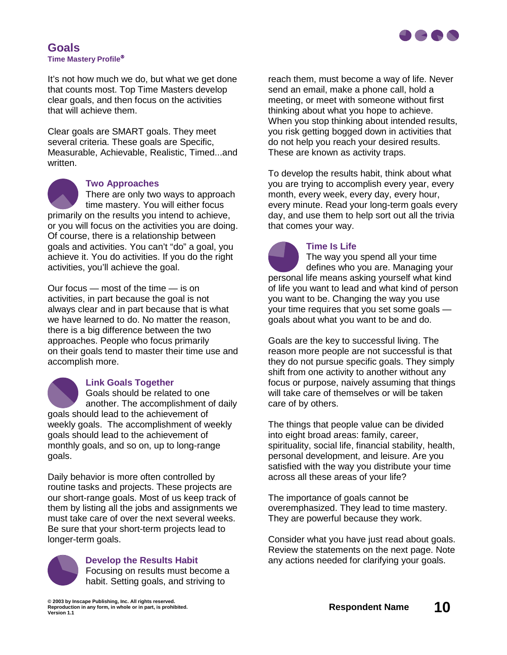

#### **Goals Time Mastery Profile**

It's not how much we do, but what we get done that counts most. Top Time Masters develop clear goals, and then focus on the activities that will achieve them.

Clear goals are SMART goals. They meet several criteria. These goals are Specific, Measurable, Achievable, Realistic, Timed...and written.



#### **Two Approaches**

There are only two ways to approach time mastery. You will either focus primarily on the results you intend to achieve, or you will focus on the activities you are doing. Of course, there is a relationship between goals and activities. You can't "do" a goal, you achieve it. You do activities. If you do the right activities, you'll achieve the goal.

Our focus — most of the time — is on activities, in part because the goal is not always clear and in part because that is what we have learned to do. No matter the reason, there is a big difference between the two approaches. People who focus primarily on their goals tend to master their time use and accomplish more.



#### **Link Goals Together**

Goals should be related to one another. The accomplishment of daily goals should lead to the achievement of weekly goals. The accomplishment of weekly goals should lead to the achievement of monthly goals, and so on, up to long-range goals.

Daily behavior is more often controlled by routine tasks and projects. These projects are our short-range goals. Most of us keep track of them by listing all the jobs and assignments we must take care of over the next several weeks. Be sure that your short-term projects lead to longer-term goals.



**Develop the Results Habit** Focusing on results must become a habit. Setting goals, and striving to

reach them, must become a way of life. Never send an email, make a phone call, hold a meeting, or meet with someone without first thinking about what you hope to achieve. When you stop thinking about intended results, you risk getting bogged down in activities that do not help you reach your desired results. These are known as activity traps.

To develop the results habit, think about what you are trying to accomplish every year, every month, every week, every day, every hour, every minute. Read your long-term goals every day, and use them to help sort out all the trivia that comes your way.



The way you spend all your time defines who you are. Managing your personal life means asking yourself what kind of life you want to lead and what kind of person you want to be. Changing the way you use your time requires that you set some goals goals about what you want to be and do.

Goals are the key to successful living. The reason more people are not successful is that they do not pursue specific goals. They simply shift from one activity to another without any focus or purpose, naively assuming that things will take care of themselves or will be taken care of by others.

The things that people value can be divided into eight broad areas: family, career, spirituality, social life, financial stability, health, personal development, and leisure. Are you satisfied with the way you distribute your time across all these areas of your life?

The importance of goals cannot be overemphasized. They lead to time mastery. They are powerful because they work.

Consider what you have just read about goals. Review the statements on the next page. Note any actions needed for clarifying your goals.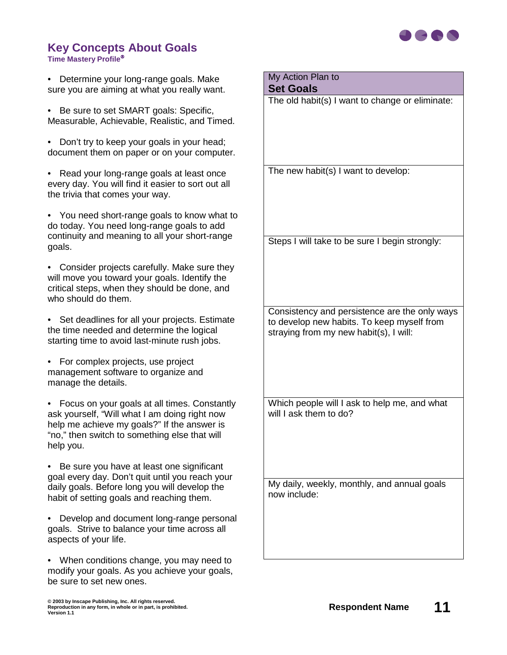

#### **Key Concepts About Goals Time Mastery Profile**

• Determine your long-range goals. Make sure you are aiming at what you really want.

• Be sure to set SMART goals: Specific, Measurable, Achievable, Realistic, and Timed.

• Don't try to keep your goals in your head; document them on paper or on your computer.

• Read your long-range goals at least once every day. You will find it easier to sort out all the trivia that comes your way.

• You need short-range goals to know what to do today. You need long-range goals to add continuity and meaning to all your short-range goals.

• Consider projects carefully. Make sure they will move you toward your goals. Identify the critical steps, when they should be done, and who should do them.

• Set deadlines for all your projects. Estimate the time needed and determine the logical starting time to avoid last-minute rush jobs.

• For complex projects, use project management software to organize and manage the details.

• Focus on your goals at all times. Constantly ask yourself, "Will what I am doing right now help me achieve my goals?" If the answer is "no," then switch to something else that will help you.

• Be sure you have at least one significant goal every day. Don't quit until you reach your daily goals. Before long you will develop the habit of setting goals and reaching them.

• Develop and document long-range personal goals. Strive to balance your time across all aspects of your life.

• When conditions change, you may need to modify your goals. As you achieve your goals, be sure to set new ones.

My Action Plan to

**Set Goals**

The old habit(s) I want to change or eliminate:

The new habit(s) I want to develop:

Steps I will take to be sure I begin strongly:

Consistency and persistence are the only ways to develop new habits. To keep myself from straying from my new habit(s), I will:

Which people will I ask to help me, and what will I ask them to do?

My daily, weekly, monthly, and annual goals now include: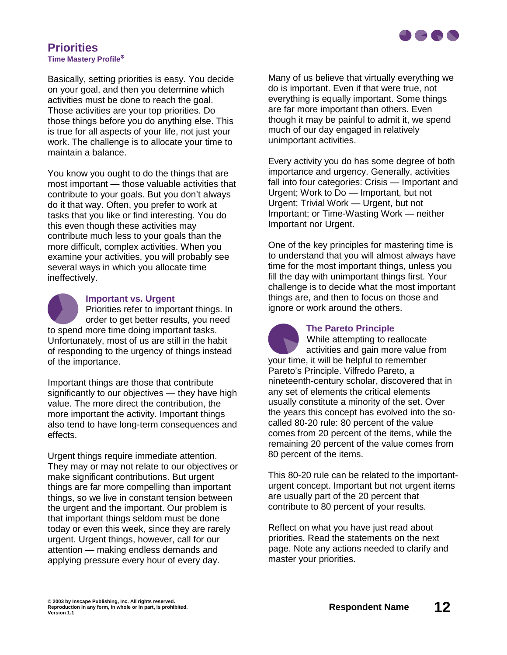

#### **Priorities Time Mastery Profile**

Basically, setting priorities is easy. You decide on your goal, and then you determine which activities must be done to reach the goal. Those activities are your top priorities. Do those things before you do anything else. This is true for all aspects of your life, not just your work. The challenge is to allocate your time to maintain a balance.

You know you ought to do the things that are most important — those valuable activities that contribute to your goals. But you don't always do it that way. Often, you prefer to work at tasks that you like or find interesting. You do this even though these activities may contribute much less to your goals than the more difficult, complex activities. When you examine your activities, you will probably see several ways in which you allocate time ineffectively.



#### **Important vs. Urgent**

Priorities refer to important things. In order to get better results, you need to spend more time doing important tasks. Unfortunately, most of us are still in the habit of responding to the urgency of things instead of the importance.

Important things are those that contribute significantly to our objectives — they have high value. The more direct the contribution, the more important the activity. Important things also tend to have long-term consequences and effects.

Urgent things require immediate attention. They may or may not relate to our objectives or make significant contributions. But urgent things are far more compelling than important things, so we live in constant tension between the urgent and the important. Our problem is that important things seldom must be done today or even this week, since they are rarely urgent. Urgent things, however, call for our attention — making endless demands and applying pressure every hour of every day.

Many of us believe that virtually everything we do is important. Even if that were true, not everything is equally important. Some things are far more important than others. Even though it may be painful to admit it, we spend much of our day engaged in relatively unimportant activities.

Every activity you do has some degree of both importance and urgency. Generally, activities fall into four categories: Crisis — Important and Urgent; Work to Do — Important, but not Urgent; Trivial Work — Urgent, but not Important; or Time-Wasting Work — neither Important nor Urgent.

One of the key principles for mastering time is to understand that you will almost always have time for the most important things, unless you fill the day with unimportant things first. Your challenge is to decide what the most important things are, and then to focus on those and ignore or work around the others.



#### **The Pareto Principle**

While attempting to reallocate activities and gain more value from your time, it will be helpful to remember Pareto's Principle. Vilfredo Pareto, a nineteenth-century scholar, discovered that in any set of elements the critical elements usually constitute a minority of the set. Over the years this concept has evolved into the socalled 80-20 rule: 80 percent of the value comes from 20 percent of the items, while the remaining 20 percent of the value comes from 80 percent of the items.

This 80-20 rule can be related to the importanturgent concept. Important but not urgent items are usually part of the 20 percent that contribute to 80 percent of your results.

Reflect on what you have just read about priorities. Read the statements on the next page. Note any actions needed to clarify and master your priorities.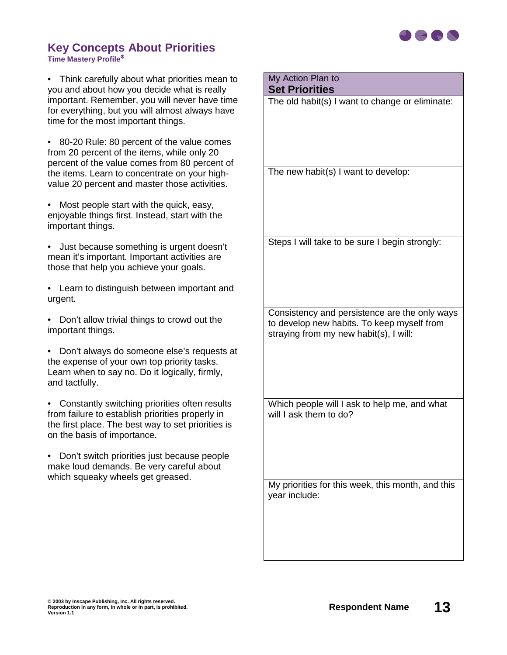

#### **Key Concepts About Priorities Time Mastery Profile**

• Think carefully about what priorities mean to you and about how you decide what is really important. Remember, you will never have time for everything, but you will almost always have time for the most important things.

• 80-20 Rule: 80 percent of the value comes from 20 percent of the items, while only 20 percent of the value comes from 80 percent of the items. Learn to concentrate on your highvalue 20 percent and master those activities.

• Most people start with the quick, easy, enjoyable things first. Instead, start with the important things.

• Just because something is urgent doesn't mean it's important. Important activities are those that help you achieve your goals.

• Learn to distinguish between important and urgent.

• Don't allow trivial things to crowd out the important things.

• Don't always do someone else's requests at the expense of your own top priority tasks. Learn when to say no. Do it logically, firmly, and tactfully.

• Constantly switching priorities often results from failure to establish priorities properly in the first place. The best way to set priorities is on the basis of importance.

• Don't switch priorities just because people make loud demands. Be very careful about which squeaky wheels get greased.

## My Action Plan to

#### **Set Priorities**

The old habit(s) I want to change or eliminate:

The new habit(s) I want to develop:

Steps I will take to be sure I begin strongly:

Consistency and persistence are the only ways to develop new habits. To keep myself from straying from my new habit(s), I will:

Which people will I ask to help me, and what will I ask them to do?

My priorities for this week, this month, and this year include: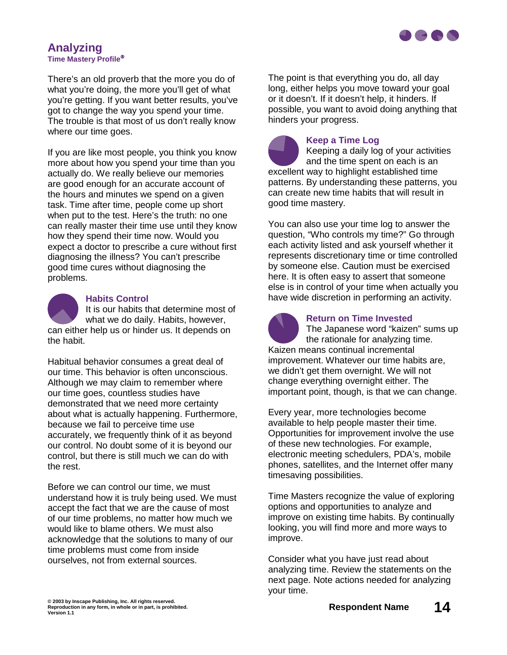

#### **Analyzing Time Mastery Profile**

There's an old proverb that the more you do of what you're doing, the more you'll get of what you're getting. If you want better results, you've got to change the way you spend your time. The trouble is that most of us don't really know where our time goes.

If you are like most people, you think you know more about how you spend your time than you actually do. We really believe our memories are good enough for an accurate account of the hours and minutes we spend on a given task. Time after time, people come up short when put to the test. Here's the truth: no one can really master their time use until they know how they spend their time now. Would you expect a doctor to prescribe a cure without first diagnosing the illness? You can't prescribe good time cures without diagnosing the problems.



#### **Habits Control**

It is our habits that determine most of what we do daily. Habits, however, can either help us or hinder us. It depends on the habit.

Habitual behavior consumes a great deal of our time. This behavior is often unconscious. Although we may claim to remember where our time goes, countless studies have demonstrated that we need more certainty about what is actually happening. Furthermore, because we fail to perceive time use accurately, we frequently think of it as beyond our control. No doubt some of it is beyond our control, but there is still much we can do with the rest.

Before we can control our time, we must understand how it is truly being used. We must accept the fact that we are the cause of most of our time problems, no matter how much we would like to blame others. We must also acknowledge that the solutions to many of our time problems must come from inside ourselves, not from external sources.

The point is that everything you do, all day long, either helps you move toward your goal or it doesn't. If it doesn't help, it hinders. If possible, you want to avoid doing anything that hinders your progress.

**Keep a Time Log**

Keeping a daily log of your activities and the time spent on each is an excellent way to highlight established time patterns. By understanding these patterns, you can create new time habits that will result in good time mastery.

You can also use your time log to answer the question, "Who controls my time?" Go through each activity listed and ask yourself whether it represents discretionary time or time controlled by someone else. Caution must be exercised here. It is often easy to assert that someone else is in control of your time when actually you have wide discretion in performing an activity.



#### **Return on Time Invested**

The Japanese word "kaizen" sums up the rationale for analyzing time. Kaizen means continual incremental improvement. Whatever our time habits are, we didn't get them overnight. We will not change everything overnight either. The important point, though, is that we can change.

Every year, more technologies become available to help people master their time. Opportunities for improvement involve the use of these new technologies. For example, electronic meeting schedulers, PDA's, mobile phones, satellites, and the Internet offer many timesaving possibilities.

Time Masters recognize the value of exploring options and opportunities to analyze and improve on existing time habits. By continually looking, you will find more and more ways to improve.

Consider what you have just read about analyzing time. Review the statements on the next page. Note actions needed for analyzing your time.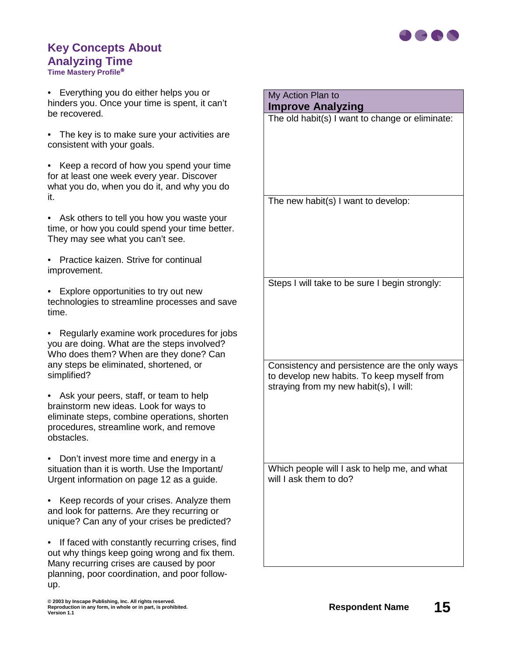

# **Key Concepts About Analyzing Time**

**Time Mastery Profile**

• Everything you do either helps you or hinders you. Once your time is spent, it can't be recovered.

• The key is to make sure your activities are consistent with your goals.

• Keep a record of how you spend your time for at least one week every year. Discover what you do, when you do it, and why you do it.

• Ask others to tell you how you waste your time, or how you could spend your time better. They may see what you can't see.

• Practice kaizen. Strive for continual improvement.

• Explore opportunities to try out new technologies to streamline processes and save time.

• Regularly examine work procedures for jobs you are doing. What are the steps involved? Who does them? When are they done? Can any steps be eliminated, shortened, or simplified?

• Ask your peers, staff, or team to help brainstorm new ideas. Look for ways to eliminate steps, combine operations, shorten procedures, streamline work, and remove obstacles.

• Don't invest more time and energy in a situation than it is worth. Use the Important/ Urgent information on page 12 as a guide.

• Keep records of your crises. Analyze them and look for patterns. Are they recurring or unique? Can any of your crises be predicted?

• If faced with constantly recurring crises, find out why things keep going wrong and fix them. Many recurring crises are caused by poor planning, poor coordination, and poor followup.

My Action Plan to **Improve Analyzing** The old habit(s) I want to change or eliminate: The new habit(s) I want to develop: Steps I will take to be sure I begin strongly:

Consistency and persistence are the only ways to develop new habits. To keep myself from straying from my new habit(s), I will: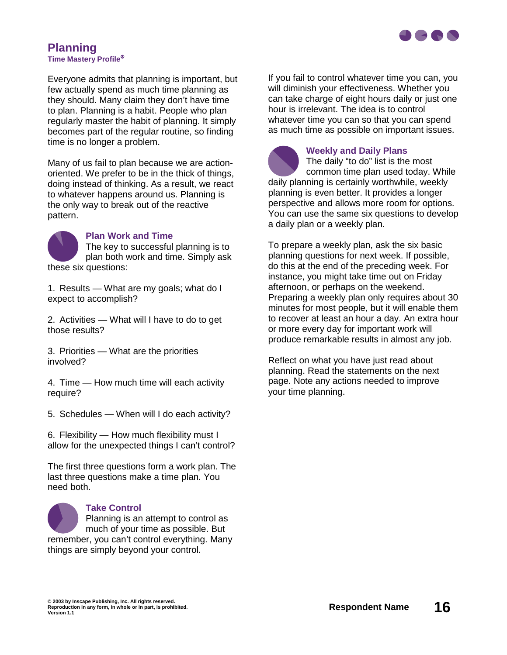

#### **Planning Time Mastery Profile**

Everyone admits that planning is important, but few actually spend as much time planning as they should. Many claim they don't have time to plan. Planning is a habit. People who plan regularly master the habit of planning. It simply becomes part of the regular routine, so finding time is no longer a problem.

Many of us fail to plan because we are actionoriented. We prefer to be in the thick of things, doing instead of thinking. As a result, we react to whatever happens around us. Planning is the only way to break out of the reactive pattern.



#### **Plan Work and Time**

The key to successful planning is to plan both work and time. Simply ask these six questions:

1. Results — What are my goals; what do I expect to accomplish?

2. Activities — What will I have to do to get those results?

3. Priorities — What are the priorities involved?

4. Time — How much time will each activity require?

5. Schedules — When will I do each activity?

6. Flexibility — How much flexibility must I allow for the unexpected things I can't control?

The first three questions form a work plan. The last three questions make a time plan. You need both.



#### **Take Control**

Planning is an attempt to control as much of your time as possible. But remember, you can't control everything. Many things are simply beyond your control.

If you fail to control whatever time you can, you will diminish your effectiveness. Whether you can take charge of eight hours daily or just one hour is irrelevant. The idea is to control whatever time you can so that you can spend as much time as possible on important issues.



#### **Weekly and Daily Plans**

The daily "to do" list is the most common time plan used today. While daily planning is certainly worthwhile, weekly planning is even better. It provides a longer perspective and allows more room for options. You can use the same six questions to develop a daily plan or a weekly plan.

To prepare a weekly plan, ask the six basic planning questions for next week. If possible, do this at the end of the preceding week. For instance, you might take time out on Friday afternoon, or perhaps on the weekend. Preparing a weekly plan only requires about 30 minutes for most people, but it will enable them to recover at least an hour a day. An extra hour or more every day for important work will produce remarkable results in almost any job.

Reflect on what you have just read about planning. Read the statements on the next page. Note any actions needed to improve your time planning.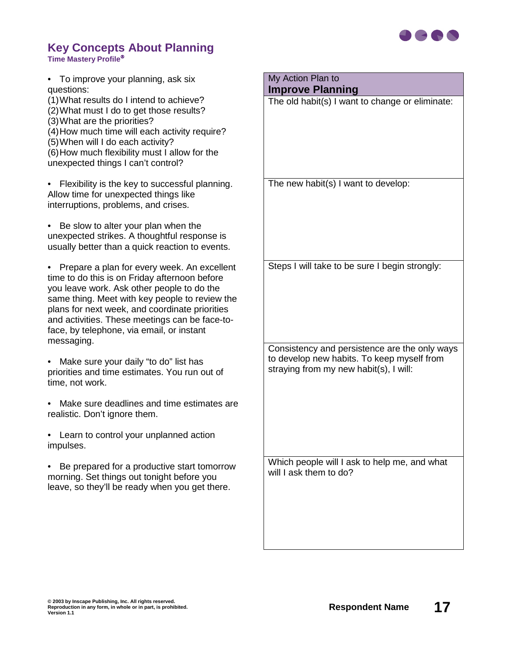

#### **Key Concepts About Planning Time Mastery Profile**

| To improve your planning, ask six<br>$\bullet$<br>questions:                                                                                                                                                                                                                                                                                                             | My Action Plan to<br><b>Improve Planning</b>                                                |
|--------------------------------------------------------------------------------------------------------------------------------------------------------------------------------------------------------------------------------------------------------------------------------------------------------------------------------------------------------------------------|---------------------------------------------------------------------------------------------|
| (1) What results do I intend to achieve?<br>(2) What must I do to get those results?<br>(3) What are the priorities?<br>(4) How much time will each activity require?<br>(5) When will I do each activity?<br>(6) How much flexibility must I allow for the<br>unexpected things I can't control?                                                                        | The old habit(s) I want to change or eliminate:                                             |
| • Flexibility is the key to successful planning.<br>Allow time for unexpected things like<br>interruptions, problems, and crises.                                                                                                                                                                                                                                        | The new habit(s) I want to develop:                                                         |
| Be slow to alter your plan when the<br>$\bullet$<br>unexpected strikes. A thoughtful response is<br>usually better than a quick reaction to events.                                                                                                                                                                                                                      |                                                                                             |
| Prepare a plan for every week. An excellent<br>$\bullet$<br>time to do this is on Friday afternoon before<br>you leave work. Ask other people to do the<br>same thing. Meet with key people to review the<br>plans for next week, and coordinate priorities<br>and activities. These meetings can be face-to-<br>face, by telephone, via email, or instant<br>messaging. | Steps I will take to be sure I begin strongly:                                              |
|                                                                                                                                                                                                                                                                                                                                                                          | Consistency and persistence are the only ways<br>to develop new habits. To keep myself from |
| Make sure your daily "to do" list has<br>$\bullet$<br>priorities and time estimates. You run out of<br>time, not work.                                                                                                                                                                                                                                                   | straying from my new habit(s), I will:                                                      |
| Make sure deadlines and time estimates are<br>realistic. Don't ignore them.                                                                                                                                                                                                                                                                                              |                                                                                             |
| Learn to control your unplanned action<br>impulses.                                                                                                                                                                                                                                                                                                                      |                                                                                             |
| Be prepared for a productive start tomorrow<br>morning. Set things out tonight before you<br>leave, so they'll be ready when you get there.                                                                                                                                                                                                                              | Which people will I ask to help me, and what<br>will I ask them to do?                      |
|                                                                                                                                                                                                                                                                                                                                                                          |                                                                                             |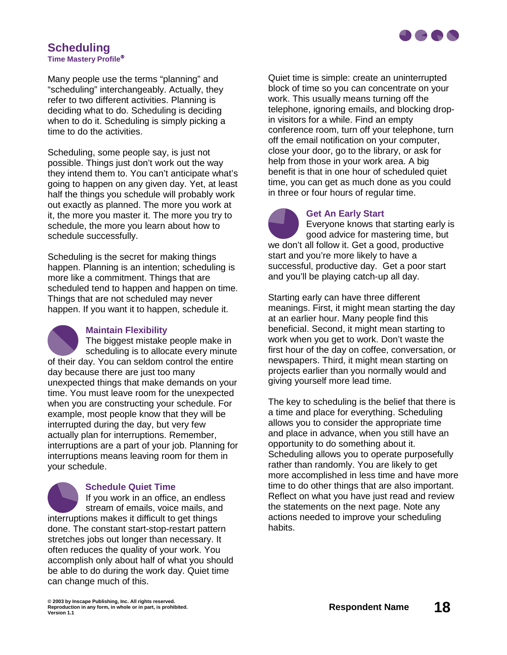

#### **Scheduling Time Mastery Profile**

Many people use the terms "planning" and "scheduling" interchangeably. Actually, they refer to two different activities. Planning is deciding what to do. Scheduling is deciding when to do it. Scheduling is simply picking a time to do the activities.

Scheduling, some people say, is just not possible. Things just don't work out the way they intend them to. You can't anticipate what's going to happen on any given day. Yet, at least half the things you schedule will probably work out exactly as planned. The more you work at it, the more you master it. The more you try to schedule, the more you learn about how to schedule successfully.

Scheduling is the secret for making things happen. Planning is an intention; scheduling is more like a commitment. Things that are scheduled tend to happen and happen on time. Things that are not scheduled may never happen. If you want it to happen, schedule it.

#### **Maintain Flexibility**

The biggest mistake people make in scheduling is to allocate every minute of their day. You can seldom control the entire day because there are just too many unexpected things that make demands on your time. You must leave room for the unexpected when you are constructing your schedule. For example, most people know that they will be interrupted during the day, but very few actually plan for interruptions. Remember, interruptions are a part of your job. Planning for interruptions means leaving room for them in your schedule.

**Schedule Quiet Time** If you work in an office, an endless stream of emails, voice mails, and interruptions makes it difficult to get things done. The constant start-stop-restart pattern stretches jobs out longer than necessary. It often reduces the quality of your work. You accomplish only about half of what you should be able to do during the work day. Quiet time can change much of this.

Quiet time is simple: create an uninterrupted block of time so you can concentrate on your work. This usually means turning off the telephone, ignoring emails, and blocking dropin visitors for a while. Find an empty conference room, turn off your telephone, turn off the email notification on your computer, close your door, go to the library, or ask for help from those in your work area. A big benefit is that in one hour of scheduled quiet time, you can get as much done as you could in three or four hours of regular time.



#### **Get An Early Start**

Everyone knows that starting early is good advice for mastering time, but we don't all follow it. Get a good, productive start and you're more likely to have a successful, productive day. Get a poor start and you'll be playing catch-up all day.

Starting early can have three different meanings. First, it might mean starting the day at an earlier hour. Many people find this beneficial. Second, it might mean starting to work when you get to work. Don't waste the first hour of the day on coffee, conversation, or newspapers. Third, it might mean starting on projects earlier than you normally would and giving yourself more lead time.

The key to scheduling is the belief that there is a time and place for everything. Scheduling allows you to consider the appropriate time and place in advance, when you still have an opportunity to do something about it. Scheduling allows you to operate purposefully rather than randomly. You are likely to get more accomplished in less time and have more time to do other things that are also important. Reflect on what you have just read and review the statements on the next page. Note any actions needed to improve your scheduling habits.

**© 2003 by Inscape Publishing, Inc. All rights reserved.** © 2003 by Inscape Publishing, Inc. All rights reserved.<br>Reproduction in any form, in whole or in part, is prohibited.<br>Version 1.1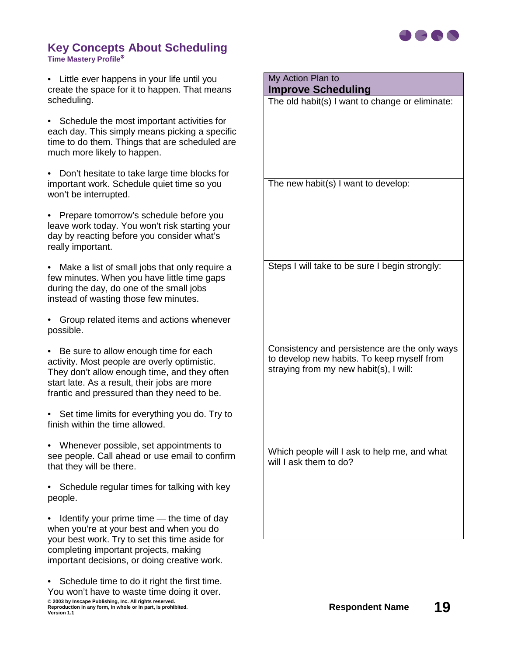

#### **Key Concepts About Scheduling Time Mastery Profile**

• Little ever happens in your life until you create the space for it to happen. That means scheduling.

• Schedule the most important activities for each day. This simply means picking a specific time to do them. Things that are scheduled are much more likely to happen.

• Don't hesitate to take large time blocks for important work. Schedule quiet time so you won't be interrupted.

• Prepare tomorrow's schedule before you leave work today. You won't risk starting your day by reacting before you consider what's really important.

• Make a list of small jobs that only require a few minutes. When you have little time gaps during the day, do one of the small jobs instead of wasting those few minutes.

• Group related items and actions whenever possible.

• Be sure to allow enough time for each activity. Most people are overly optimistic. They don't allow enough time, and they often start late. As a result, their jobs are more frantic and pressured than they need to be.

• Set time limits for everything you do. Try to finish within the time allowed.

• Whenever possible, set appointments to see people. Call ahead or use email to confirm that they will be there.

• Schedule regular times for talking with key people.

• Identify your prime time — the time of day when you're at your best and when you do your best work. Try to set this time aside for completing important projects, making important decisions, or doing creative work.

© 2003 by Inscape Publishing, Inc. All rights reserved.<br>Reproduction in any form, in whole or in part, is prohibited.<br>Version 1.1 • Schedule time to do it right the first time. You won't have to waste time doing it over.

| My Action Plan to<br><b>Improve Scheduling</b>                                                                                        |
|---------------------------------------------------------------------------------------------------------------------------------------|
| The old habit(s) I want to change or eliminate:                                                                                       |
|                                                                                                                                       |
| The new habit(s) I want to develop:                                                                                                   |
| Steps I will take to be sure I begin strongly:                                                                                        |
| Consistency and persistence are the only ways<br>to develop new habits. To keep myself from<br>straying from my new habit(s), I will: |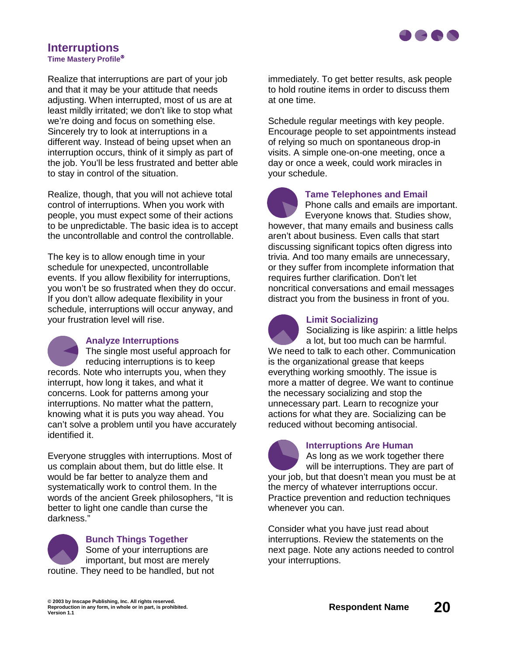

# **Interruptions**

**Time Mastery Profile**

Realize that interruptions are part of your job and that it may be your attitude that needs adjusting. When interrupted, most of us are at least mildly irritated; we don't like to stop what we're doing and focus on something else. Sincerely try to look at interruptions in a different way. Instead of being upset when an interruption occurs, think of it simply as part of the job. You'll be less frustrated and better able to stay in control of the situation.

Realize, though, that you will not achieve total control of interruptions. When you work with people, you must expect some of their actions to be unpredictable. The basic idea is to accept the uncontrollable and control the controllable.

The key is to allow enough time in your schedule for unexpected, uncontrollable events. If you allow flexibility for interruptions, you won't be so frustrated when they do occur. If you don't allow adequate flexibility in your schedule, interruptions will occur anyway, and your frustration level will rise.



#### **Analyze Interruptions**

The single most useful approach for reducing interruptions is to keep records. Note who interrupts you, when they interrupt, how long it takes, and what it concerns. Look for patterns among your interruptions. No matter what the pattern, knowing what it is puts you way ahead. You can't solve a problem until you have accurately identified it.

Everyone struggles with interruptions. Most of us complain about them, but do little else. It would be far better to analyze them and systematically work to control them. In the words of the ancient Greek philosophers, "It is better to light one candle than curse the darkness."



## **Bunch Things Together** Some of your interruptions are important, but most are merely

routine. They need to be handled, but not

immediately. To get better results, ask people to hold routine items in order to discuss them at one time.

Schedule regular meetings with key people. Encourage people to set appointments instead of relying so much on spontaneous drop-in visits. A simple one-on-one meeting, once a day or once a week, could work miracles in your schedule.



#### **Tame Telephones and Email**

Phone calls and emails are important. Everyone knows that. Studies show,

however, that many emails and business calls aren't about business. Even calls that start discussing significant topics often digress into trivia. And too many emails are unnecessary, or they suffer from incomplete information that requires further clarification. Don't let noncritical conversations and email messages distract you from the business in front of you.



#### **Limit Socializing**

Socializing is like aspirin: a little helps a lot, but too much can be harmful. We need to talk to each other. Communication is the organizational grease that keeps everything working smoothly. The issue is more a matter of degree. We want to continue the necessary socializing and stop the unnecessary part. Learn to recognize your actions for what they are. Socializing can be reduced without becoming antisocial.



#### **Interruptions Are Human**

As long as we work together there will be interruptions. They are part of your job, but that doesn't mean you must be at the mercy of whatever interruptions occur. Practice prevention and reduction techniques whenever you can.

Consider what you have just read about interruptions. Review the statements on the next page. Note any actions needed to control your interruptions.

**© 2003 by Inscape Publishing, Inc. All rights reserved.** @ 2003 by Inscape Publishing, Inc. All rights reserved.<br>Reproduction in any form, in whole or in part, is prohibited.<br>Version 1.1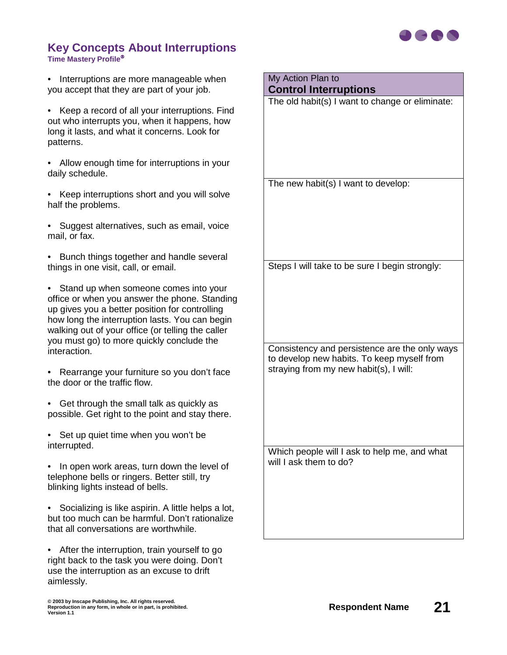

#### **Key Concepts About Interruptions Time Mastery Profile**

• Interruptions are more manageable when you accept that they are part of your job.

- Keep a record of all your interruptions. Find out who interrupts you, when it happens, how long it lasts, and what it concerns. Look for patterns.
- Allow enough time for interruptions in your daily schedule.
- Keep interruptions short and you will solve half the problems.
- Suggest alternatives, such as email, voice mail, or fax.
- Bunch things together and handle several things in one visit, call, or email.
- Stand up when someone comes into your office or when you answer the phone. Standing up gives you a better position for controlling how long the interruption lasts. You can begin walking out of your office (or telling the caller you must go) to more quickly conclude the interaction.
- Rearrange your furniture so you don't face the door or the traffic flow.
- Get through the small talk as quickly as possible. Get right to the point and stay there.
- Set up quiet time when you won't be interrupted.
- In open work areas, turn down the level of telephone bells or ringers. Better still, try blinking lights instead of bells.
- Socializing is like aspirin. A little helps a lot, but too much can be harmful. Don't rationalize that all conversations are worthwhile.

• After the interruption, train yourself to go right back to the task you were doing. Don't use the interruption as an excuse to drift aimlessly.

#### My Action Plan to **Control Interruptions**

The old habit(s) I want to change or eliminate:

The new habit(s) I want to develop:

Steps I will take to be sure I begin strongly:

Consistency and persistence are the only ways to develop new habits. To keep myself from straying from my new habit(s), I will: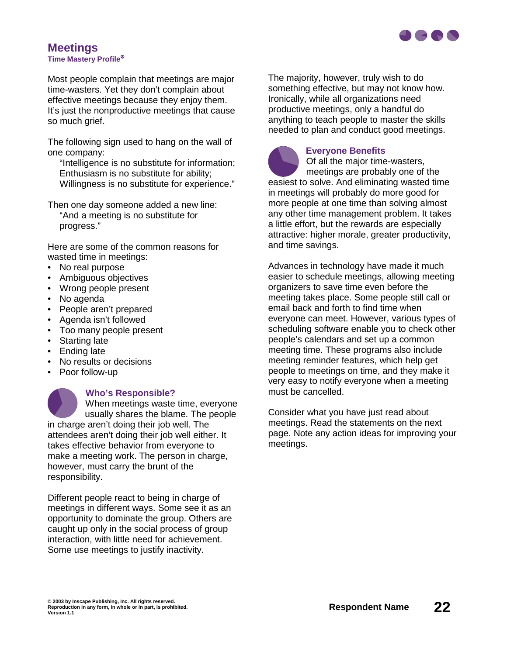

#### **Meetings Time Mastery Profile**

Most people complain that meetings are major time-wasters. Yet they don't complain about effective meetings because they enjoy them. It's just the nonproductive meetings that cause so much grief.

The following sign used to hang on the wall of one company:

"Intelligence is no substitute for information; Enthusiasm is no substitute for ability; Willingness is no substitute for experience."

Then one day someone added a new line: "And a meeting is no substitute for progress."

Here are some of the common reasons for wasted time in meetings:

- No real purpose
- Ambiguous objectives
- Wrong people present
- No agenda
- People aren't prepared
- Agenda isn't followed
- Too many people present
- Starting late
- Ending late
- No results or decisions
- Poor follow-up



#### **Who's Responsible?**

When meetings waste time, everyone usually shares the blame. The people in charge aren't doing their job well. The attendees aren't doing their job well either. It takes effective behavior from everyone to make a meeting work. The person in charge, however, must carry the brunt of the responsibility.

Different people react to being in charge of meetings in different ways. Some see it as an opportunity to dominate the group. Others are caught up only in the social process of group interaction, with little need for achievement. Some use meetings to justify inactivity.

The majority, however, truly wish to do something effective, but may not know how. Ironically, while all organizations need productive meetings, only a handful do anything to teach people to master the skills needed to plan and conduct good meetings.



#### **Everyone Benefits**

Of all the major time-wasters, meetings are probably one of the easiest to solve. And eliminating wasted time in meetings will probably do more good for more people at one time than solving almost any other time management problem. It takes a little effort, but the rewards are especially attractive: higher morale, greater productivity, and time savings.

Advances in technology have made it much easier to schedule meetings, allowing meeting organizers to save time even before the meeting takes place. Some people still call or email back and forth to find time when everyone can meet. However, various types of scheduling software enable you to check other people's calendars and set up a common meeting time. These programs also include meeting reminder features, which help get people to meetings on time, and they make it very easy to notify everyone when a meeting must be cancelled.

Consider what you have just read about meetings. Read the statements on the next page. Note any action ideas for improving your meetings.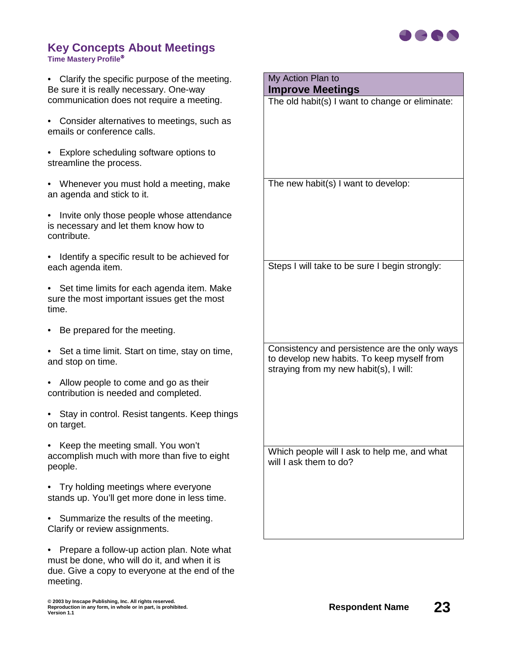

#### **Key Concepts About Meetings Time Mastery Profile**

• Clarify the specific purpose of the meeting. Be sure it is really necessary. One-way communication does not require a meeting.

- Consider alternatives to meetings, such as emails or conference calls.
- Explore scheduling software options to streamline the process.
- Whenever you must hold a meeting, make an agenda and stick to it.
- Invite only those people whose attendance is necessary and let them know how to contribute.
- Identify a specific result to be achieved for each agenda item.
- Set time limits for each agenda item. Make sure the most important issues get the most time.
- Be prepared for the meeting.
- Set a time limit. Start on time, stay on time, and stop on time.
- Allow people to come and go as their contribution is needed and completed.
- Stay in control. Resist tangents. Keep things on target.
- Keep the meeting small. You won't accomplish much with more than five to eight people.
- Try holding meetings where everyone stands up. You'll get more done in less time.
- Summarize the results of the meeting. Clarify or review assignments.

• Prepare a follow-up action plan. Note what must be done, who will do it, and when it is due. Give a copy to everyone at the end of the meeting.

# My Action Plan to

**Improve Meetings**

The old habit(s) I want to change or eliminate:

The new habit(s) I want to develop:

Steps I will take to be sure I begin strongly:

Consistency and persistence are the only ways to develop new habits. To keep myself from straying from my new habit(s), I will: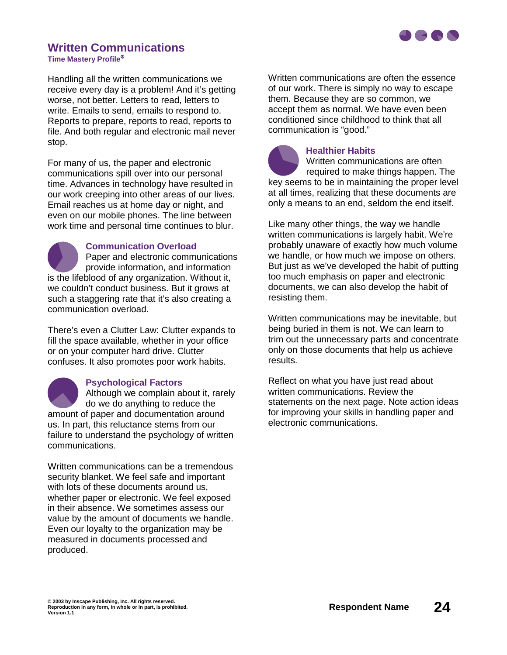

# **Written Communications**

**Time Mastery Profile**

Handling all the written communications we receive every day is a problem! And it's getting worse, not better. Letters to read, letters to write. Emails to send, emails to respond to. Reports to prepare, reports to read, reports to file. And both regular and electronic mail never stop.

For many of us, the paper and electronic communications spill over into our personal time. Advances in technology have resulted in our work creeping into other areas of our lives. Email reaches us at home day or night, and even on our mobile phones. The line between work time and personal time continues to blur.

#### **Communication Overload**

Paper and electronic communications provide information, and information is the lifeblood of any organization. Without it, we couldn't conduct business. But it grows at such a staggering rate that it's also creating a communication overload.

There's even a Clutter Law: Clutter expands to fill the space available, whether in your office or on your computer hard drive. Clutter confuses. It also promotes poor work habits.



#### **Psychological Factors**

Although we complain about it, rarely do we do anything to reduce the amount of paper and documentation around us. In part, this reluctance stems from our failure to understand the psychology of written communications.

Written communications can be a tremendous security blanket. We feel safe and important with lots of these documents around us, whether paper or electronic. We feel exposed in their absence. We sometimes assess our value by the amount of documents we handle. Even our loyalty to the organization may be measured in documents processed and produced.

Written communications are often the essence of our work. There is simply no way to escape them. Because they are so common, we accept them as normal. We have even been conditioned since childhood to think that all communication is "good."



#### **Healthier Habits**

Written communications are often required to make things happen. The key seems to be in maintaining the proper level at all times, realizing that these documents are only a means to an end, seldom the end itself.

Like many other things, the way we handle written communications is largely habit. We're probably unaware of exactly how much volume we handle, or how much we impose on others. But just as we've developed the habit of putting too much emphasis on paper and electronic documents, we can also develop the habit of resisting them.

Written communications may be inevitable, but being buried in them is not. We can learn to trim out the unnecessary parts and concentrate only on those documents that help us achieve results.

Reflect on what you have just read about written communications. Review the statements on the next page. Note action ideas for improving your skills in handling paper and electronic communications.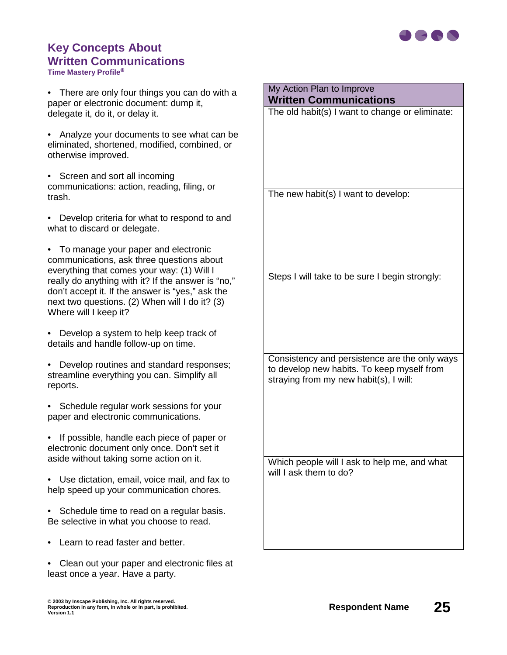

# **Key Concepts About Written Communications**

**Time Mastery Profile**

• There are only four things you can do with a paper or electronic document: dump it, delegate it, do it, or delay it.

• Analyze your documents to see what can be eliminated, shortened, modified, combined, or otherwise improved.

• Screen and sort all incoming communications: action, reading, filing, or trash.

• Develop criteria for what to respond to and what to discard or delegate.

• To manage your paper and electronic communications, ask three questions about everything that comes your way: (1) Will I really do anything with it? If the answer is "no," don't accept it. If the answer is "yes," ask the next two questions. (2) When will I do it? (3) Where will I keep it?

• Develop a system to help keep track of details and handle follow-up on time.

• Develop routines and standard responses; streamline everything you can. Simplify all reports.

• Schedule regular work sessions for your paper and electronic communications.

• If possible, handle each piece of paper or electronic document only once. Don't set it aside without taking some action on it.

• Use dictation, email, voice mail, and fax to help speed up your communication chores.

• Schedule time to read on a regular basis. Be selective in what you choose to read.

- Learn to read faster and better.
- Clean out your paper and electronic files at least once a year. Have a party.

**Written Communications** The old habit(s) I want to change or eliminate: The new habit(s) I want to develop: Steps I will take to be sure I begin strongly:

My Action Plan to Improve

Consistency and persistence are the only ways to develop new habits. To keep myself from straying from my new habit(s), I will: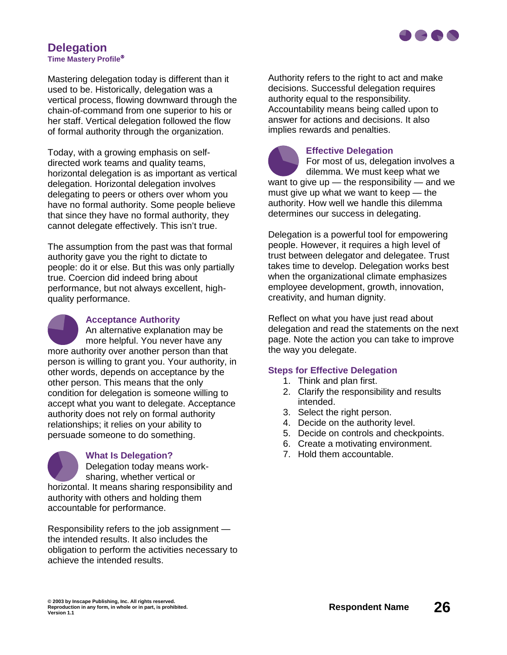

#### **Delegation Time Mastery Profile**

Mastering delegation today is different than it used to be. Historically, delegation was a vertical process, flowing downward through the chain-of-command from one superior to his or her staff. Vertical delegation followed the flow of formal authority through the organization.

Today, with a growing emphasis on selfdirected work teams and quality teams, horizontal delegation is as important as vertical delegation. Horizontal delegation involves delegating to peers or others over whom you have no formal authority. Some people believe that since they have no formal authority, they cannot delegate effectively. This isn't true.

The assumption from the past was that formal authority gave you the right to dictate to people: do it or else. But this was only partially true. Coercion did indeed bring about performance, but not always excellent, highquality performance.

**Acceptance Authority** An alternative explanation may be more helpful. You never have any more authority over another person than that person is willing to grant you. Your authority, in other words, depends on acceptance by the other person. This means that the only condition for delegation is someone willing to accept what you want to delegate. Acceptance authority does not rely on formal authority relationships; it relies on your ability to persuade someone to do something.

**What Is Delegation?** Delegation today means worksharing, whether vertical or horizontal. It means sharing responsibility and authority with others and holding them accountable for performance.

Responsibility refers to the job assignment the intended results. It also includes the obligation to perform the activities necessary to achieve the intended results.

Authority refers to the right to act and make decisions. Successful delegation requires authority equal to the responsibility. Accountability means being called upon to answer for actions and decisions. It also implies rewards and penalties.

**Effective Delegation** For most of us, delegation involves a dilemma. We must keep what we want to give up  $-$  the responsibility  $-$  and we must give up what we want to keep — the authority. How well we handle this dilemma determines our success in delegating.

Delegation is a powerful tool for empowering people. However, it requires a high level of trust between delegator and delegatee. Trust takes time to develop. Delegation works best when the organizational climate emphasizes employee development, growth, innovation, creativity, and human dignity.

Reflect on what you have just read about delegation and read the statements on the next page. Note the action you can take to improve the way you delegate.

#### **Steps for Effective Delegation**

- 1. Think and plan first.
- 2. Clarify the responsibility and results intended.
- 3. Select the right person.
- 4. Decide on the authority level.
- 5. Decide on controls and checkpoints.
- 6. Create a motivating environment.
- 7. Hold them accountable.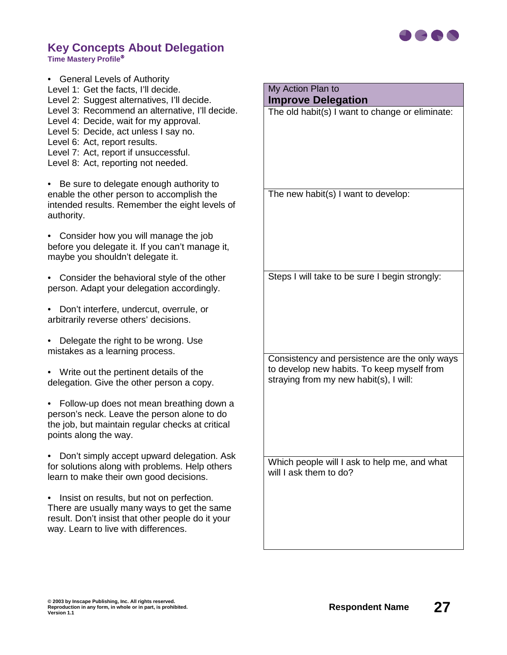

#### **Key Concepts About Delegation Time Mastery Profile**

• General Levels of Authority Level 1: Get the facts, I'll decide. Level 2: Suggest alternatives, I'll decide. Level 3: Recommend an alternative, I'll decide. Level 4: Decide, wait for my approval. Level 5: Decide, act unless I say no. Level 6: Act, report results. Level 7: Act, report if unsuccessful. Level 8: Act, reporting not needed.

• Be sure to delegate enough authority to enable the other person to accomplish the intended results. Remember the eight levels of authority.

• Consider how you will manage the job before you delegate it. If you can't manage it, maybe you shouldn't delegate it.

- Consider the behavioral style of the other person. Adapt your delegation accordingly.
- Don't interfere, undercut, overrule, or arbitrarily reverse others' decisions.
- Delegate the right to be wrong. Use mistakes as a learning process.
- Write out the pertinent details of the delegation. Give the other person a copy.
- Follow-up does not mean breathing down a person's neck. Leave the person alone to do the job, but maintain regular checks at critical points along the way.
- Don't simply accept upward delegation. Ask for solutions along with problems. Help others learn to make their own good decisions.
- Insist on results, but not on perfection. There are usually many ways to get the same result. Don't insist that other people do it your way. Learn to live with differences.

My Action Plan to **Improve Delegation**

The old habit(s) I want to change or eliminate:

The new habit(s) I want to develop:

Steps I will take to be sure I begin strongly:

Consistency and persistence are the only ways to develop new habits. To keep myself from straying from my new habit(s), I will: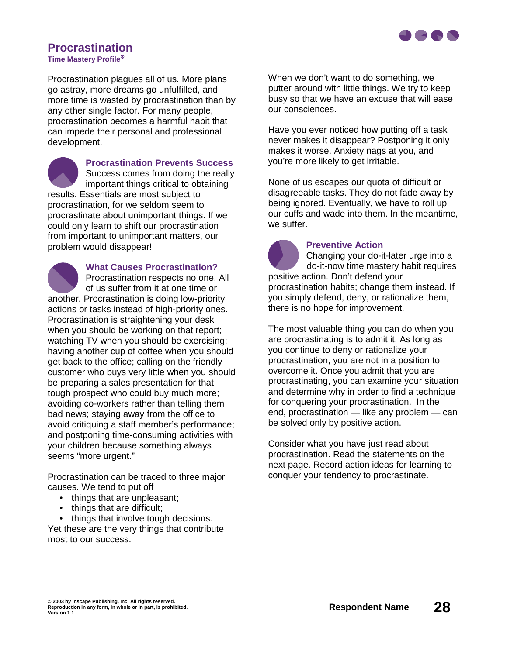

## **Procrastination**

**Time Mastery Profile**

Procrastination plagues all of us. More plans go astray, more dreams go unfulfilled, and more time is wasted by procrastination than by any other single factor. For many people, procrastination becomes a harmful habit that can impede their personal and professional development.



**Procrastination Prevents Success** Success comes from doing the really

important things critical to obtaining results. Essentials are most subject to procrastination, for we seldom seem to procrastinate about unimportant things. If we could only learn to shift our procrastination from important to unimportant matters, our problem would disappear!

**What Causes Procrastination?** Procrastination respects no one. All of us suffer from it at one time or another. Procrastination is doing low-priority actions or tasks instead of high-priority ones. Procrastination is straightening your desk when you should be working on that report; watching TV when you should be exercising; having another cup of coffee when you should get back to the office; calling on the friendly customer who buys very little when you should be preparing a sales presentation for that tough prospect who could buy much more; avoiding co-workers rather than telling them bad news; staying away from the office to avoid critiquing a staff member's performance; and postponing time-consuming activities with your children because something always seems "more urgent."

Procrastination can be traced to three major causes. We tend to put off

- things that are unpleasant;
- things that are difficult;
- things that involve tough decisions.

Yet these are the very things that contribute most to our success.

When we don't want to do something, we putter around with little things. We try to keep busy so that we have an excuse that will ease our consciences.

Have you ever noticed how putting off a task never makes it disappear? Postponing it only makes it worse. Anxiety nags at you, and you're more likely to get irritable.

None of us escapes our quota of difficult or disagreeable tasks. They do not fade away by being ignored. Eventually, we have to roll up our cuffs and wade into them. In the meantime, we suffer.

#### **Preventive Action**

Changing your do-it-later urge into a do-it-now time mastery habit requires positive action. Don't defend your procrastination habits; change them instead. If you simply defend, deny, or rationalize them, there is no hope for improvement.

The most valuable thing you can do when you are procrastinating is to admit it. As long as you continue to deny or rationalize your procrastination, you are not in a position to overcome it. Once you admit that you are procrastinating, you can examine your situation and determine why in order to find a technique for conquering your procrastination. In the end, procrastination — like any problem — can be solved only by positive action.

Consider what you have just read about procrastination. Read the statements on the next page. Record action ideas for learning to conquer your tendency to procrastinate.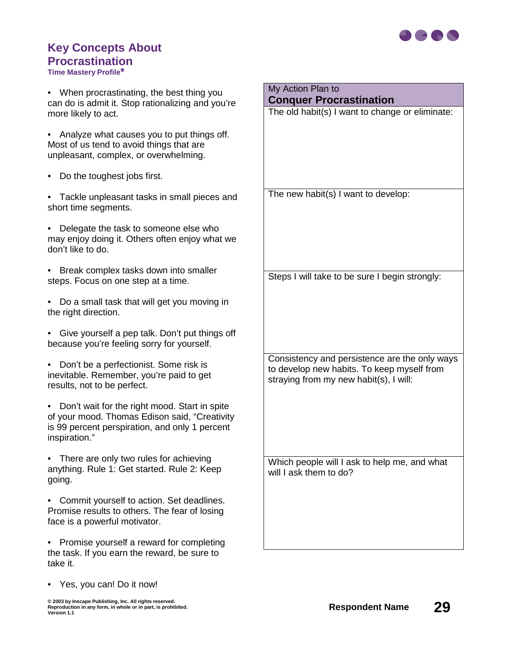

## **Key Concepts About Procrastination**

**Time Mastery Profile**

• When procrastinating, the best thing you can do is admit it. Stop rationalizing and you're more likely to act.

• Analyze what causes you to put things off. Most of us tend to avoid things that are unpleasant, complex, or overwhelming.

- Do the toughest jobs first.
- Tackle unpleasant tasks in small pieces and short time segments.

• Delegate the task to someone else who may enjoy doing it. Others often enjoy what we don't like to do.

• Break complex tasks down into smaller steps. Focus on one step at a time.

• Do a small task that will get you moving in the right direction.

• Give yourself a pep talk. Don't put things off because you're feeling sorry for yourself.

• Don't be a perfectionist. Some risk is inevitable. Remember, you're paid to get results, not to be perfect.

• Don't wait for the right mood. Start in spite of your mood. Thomas Edison said, "Creativity is 99 percent perspiration, and only 1 percent inspiration."

• There are only two rules for achieving anything. Rule 1: Get started. Rule 2: Keep going.

• Commit yourself to action. Set deadlines. Promise results to others. The fear of losing face is a powerful motivator.

• Promise yourself a reward for completing the task. If you earn the reward, be sure to take it.

• Yes, you can! Do it now!

**© 2003 by Inscape Publishing, Inc. All rights reserved.** © 2003 by Inscape Publishing, Inc. All rights reserved.<br>Reproduction in any form, in whole or in part, is prohibited.<br>Version 1.1

The new habit(s) I want to develop: Steps I will take to be sure I begin strongly:

The old habit(s) I want to change or eliminate:

My Action Plan to

**Conquer Procrastination**

Consistency and persistence are the only ways to develop new habits. To keep myself from straying from my new habit(s), I will: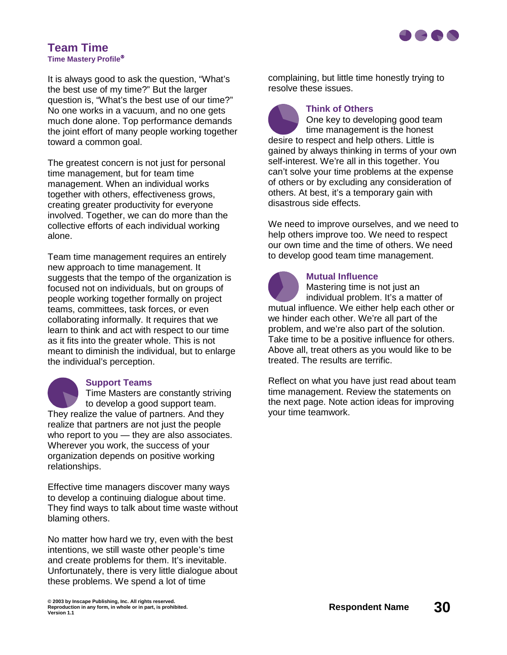

#### **Team Time Time Mastery Profile**

It is always good to ask the question, "What's the best use of my time?" But the larger question is, "What's the best use of our time?" No one works in a vacuum, and no one gets much done alone. Top performance demands the joint effort of many people working together toward a common goal.

The greatest concern is not just for personal time management, but for team time management. When an individual works together with others, effectiveness grows, creating greater productivity for everyone involved. Together, we can do more than the collective efforts of each individual working alone.

Team time management requires an entirely new approach to time management. It suggests that the tempo of the organization is focused not on individuals, but on groups of people working together formally on project teams, committees, task forces, or even collaborating informally. It requires that we learn to think and act with respect to our time as it fits into the greater whole. This is not meant to diminish the individual, but to enlarge the individual's perception.

#### **Support Teams**

Time Masters are constantly striving to develop a good support team. They realize the value of partners. And they realize that partners are not just the people who report to you — they are also associates. Wherever you work, the success of your organization depends on positive working relationships.

Effective time managers discover many ways to develop a continuing dialogue about time. They find ways to talk about time waste without blaming others.

No matter how hard we try, even with the best intentions, we still waste other people's time and create problems for them. It's inevitable. Unfortunately, there is very little dialogue about these problems. We spend a lot of time

complaining, but little time honestly trying to resolve these issues.

#### **Think of Others**

One key to developing good team time management is the honest desire to respect and help others. Little is gained by always thinking in terms of your own self-interest. We're all in this together. You can't solve your time problems at the expense of others or by excluding any consideration of others. At best, it's a temporary gain with disastrous side effects.

We need to improve ourselves, and we need to help others improve too. We need to respect our own time and the time of others. We need to develop good team time management.

**Mutual Influence**  Mastering time is not just an individual problem. It's a matter of mutual influence. We either help each other or we hinder each other. We're all part of the problem, and we're also part of the solution. Take time to be a positive influence for others. Above all, treat others as you would like to be treated. The results are terrific.

Reflect on what you have just read about team time management. Review the statements on the next page. Note action ideas for improving your time teamwork.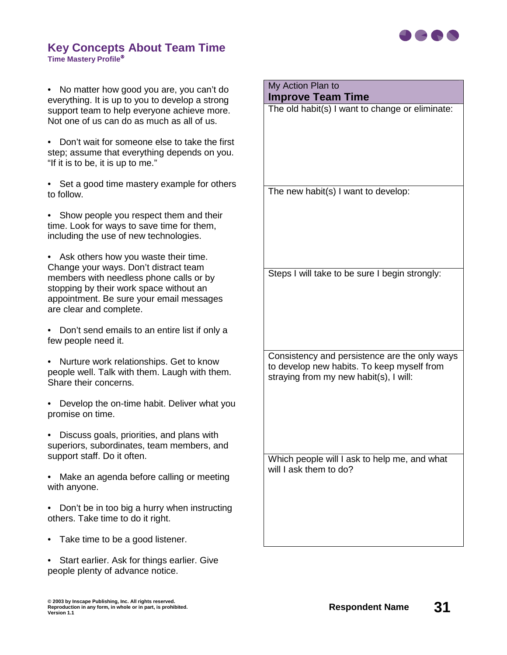

#### **Key Concepts About Team Time Time Mastery Profile**

• No matter how good you are, you can't do everything. It is up to you to develop a strong support team to help everyone achieve more. Not one of us can do as much as all of us.

• Don't wait for someone else to take the first step; assume that everything depends on you. "If it is to be, it is up to me."

• Set a good time mastery example for others to follow.

• Show people you respect them and their time. Look for ways to save time for them, including the use of new technologies.

• Ask others how you waste their time. Change your ways. Don't distract team members with needless phone calls or by stopping by their work space without an appointment. Be sure your email messages are clear and complete.

• Don't send emails to an entire list if only a few people need it.

• Nurture work relationships. Get to know people well. Talk with them. Laugh with them. Share their concerns.

• Develop the on-time habit. Deliver what you promise on time.

• Discuss goals, priorities, and plans with superiors, subordinates, team members, and support staff. Do it often.

• Make an agenda before calling or meeting with anyone.

• Don't be in too big a hurry when instructing others. Take time to do it right.

- Take time to be a good listener.
- Start earlier. Ask for things earlier. Give people plenty of advance notice.

The old habit(s) I want to change or eliminate: The new habit(s) I want to develop: Steps I will take to be sure I begin strongly: Consistency and persistence are the only ways to develop new habits. To keep myself from straying from my new habit(s), I will:

My Action Plan to

**Improve Team Time**